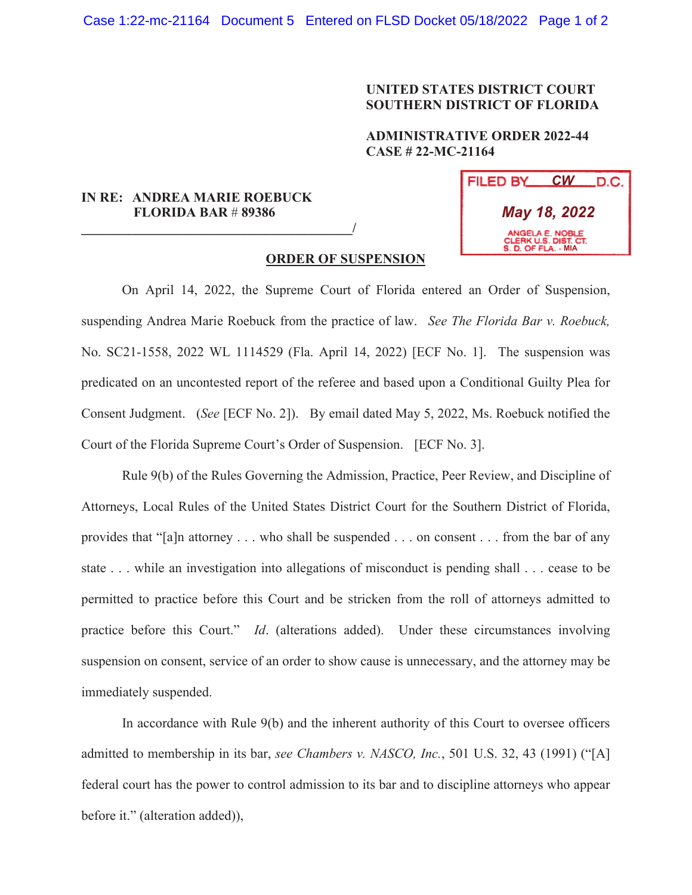## **UNITED STATES DISTRICT COURT SOUTHERN DISTRICT OF FLORIDA**

## **ADMINISTRATIVE ORDER 2022-44 CASE # 22-MC-21164**

## **IN RE: ANDREA MARIE ROEBUCK FLORIDA BAR** # **89386**

**\_\_\_\_\_\_\_\_\_\_\_\_\_\_\_\_\_\_\_\_\_\_\_\_\_\_\_\_\_\_\_\_\_\_\_\_\_\_\_\_/**



## **ORDER OF SUSPENSION**

 On April 14, 2022, the Supreme Court of Florida entered an Order of Suspension, suspending Andrea Marie Roebuck from the practice of law. *See The Florida Bar v. Roebuck,*  No. SC21-1558, 2022 WL 1114529 (Fla. April 14, 2022) [ECF No. 1]. The suspension was predicated on an uncontested report of the referee and based upon a Conditional Guilty Plea for Consent Judgment. (*See* [ECF No. 2]). By email dated May 5, 2022, Ms. Roebuck notified the Court of the Florida Supreme Court's Order of Suspension. [ECF No. 3].

Rule 9(b) of the Rules Governing the Admission, Practice, Peer Review, and Discipline of Attorneys, Local Rules of the United States District Court for the Southern District of Florida, provides that "[a]n attorney . . . who shall be suspended . . . on consent . . . from the bar of any state . . . while an investigation into allegations of misconduct is pending shall . . . cease to be permitted to practice before this Court and be stricken from the roll of attorneys admitted to practice before this Court." *Id*. (alterations added). Under these circumstances involving suspension on consent, service of an order to show cause is unnecessary, and the attorney may be immediately suspended.

In accordance with Rule 9(b) and the inherent authority of this Court to oversee officers admitted to membership in its bar, *see Chambers v. NASCO, Inc.*, 501 U.S. 32, 43 (1991) ("[A] federal court has the power to control admission to its bar and to discipline attorneys who appear before it." (alteration added)),